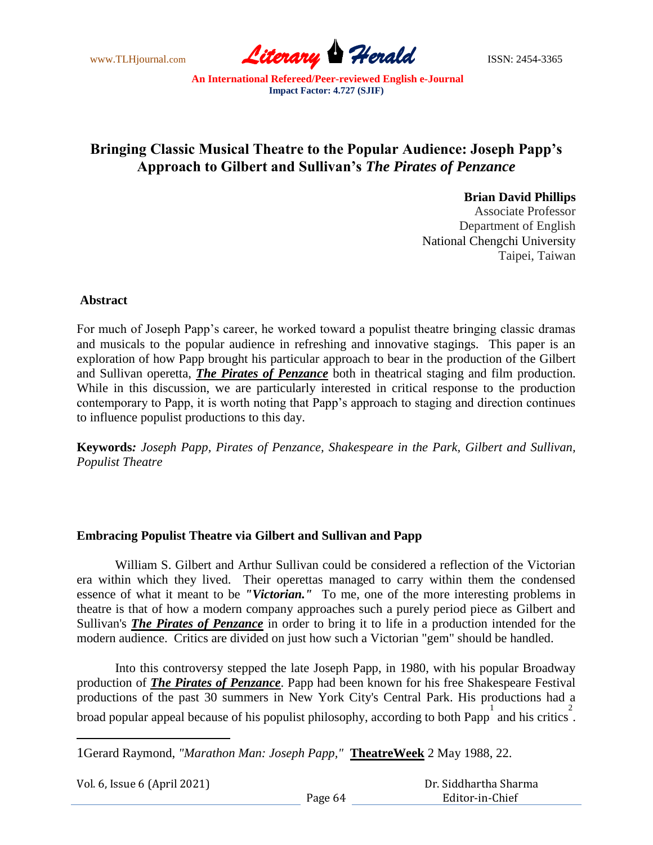www.TLHjournal.com **Literary Perald ISSN: 2454-3365** 

# **Bringing Classic Musical Theatre to the Popular Audience: Joseph Papp's Approach to Gilbert and Sullivan's** *The Pirates of Penzance*

# **Brian David Phillips**

Associate Professor Department of English National Chengchi University Taipei, Taiwan

# **Abstract**

For much of Joseph Papp's career, he worked toward a populist theatre bringing classic dramas and musicals to the popular audience in refreshing and innovative stagings. This paper is an exploration of how Papp brought his particular approach to bear in the production of the Gilbert and Sullivan operetta, *The Pirates of Penzance* both in theatrical staging and film production. While in this discussion, we are particularly interested in critical response to the production contemporary to Papp, it is worth noting that Papp's approach to staging and direction continues to influence populist productions to this day.

**Keywords***: Joseph Papp, Pirates of Penzance, Shakespeare in the Park, Gilbert and Sullivan, Populist Theatre*

# **Embracing Populist Theatre via Gilbert and Sullivan and Papp**

William S. Gilbert and Arthur Sullivan could be considered a reflection of the Victorian era within which they lived. Their operettas managed to carry within them the condensed essence of what it meant to be *"Victorian."* To me, one of the more interesting problems in theatre is that of how a modern company approaches such a purely period piece as Gilbert and Sullivan's *The Pirates of Penzance* in order to bring it to life in a production intended for the modern audience. Critics are divided on just how such a Victorian "gem" should be handled.

Into this controversy stepped the late Joseph Papp, in 1980, with his popular Broadway production of *The Pirates of Penzance*. Papp had been known for his free Shakespeare Festival productions of the past 30 summers in New York City's Central Park. His productions had a broad popular appeal because of his populist philosophy, according to both Papp and his critics.

<sup>1</sup>Gerard Raymond, *"Marathon Man: Joseph Papp,"* **TheatreWeek** 2 May 1988, 22.

| Vol. 6, Issue 6 (April 2021) |  |
|------------------------------|--|
|------------------------------|--|

 $\overline{a}$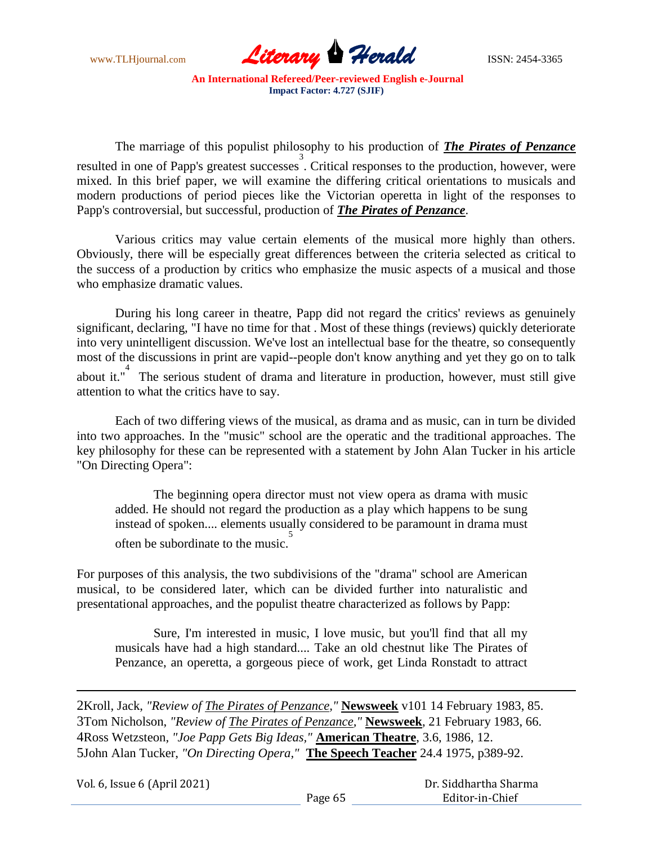

The marriage of this populist philosophy to his production of *The Pirates of Penzance* resulted in one of Papp's greatest successes. Critical responses to the production, however, were mixed. In this brief paper, we will examine the differing critical orientations to musicals and modern productions of period pieces like the Victorian operetta in light of the responses to Papp's controversial, but successful, production of *The Pirates of Penzance*.

Various critics may value certain elements of the musical more highly than others. Obviously, there will be especially great differences between the criteria selected as critical to the success of a production by critics who emphasize the music aspects of a musical and those who emphasize dramatic values.

During his long career in theatre, Papp did not regard the critics' reviews as genuinely significant, declaring, "I have no time for that . Most of these things (reviews) quickly deteriorate into very unintelligent discussion. We've lost an intellectual base for the theatre, so consequently most of the discussions in print are vapid--people don't know anything and yet they go on to talk about it." The serious student of drama and literature in production, however, must still give attention to what the critics have to say.

Each of two differing views of the musical, as drama and as music, can in turn be divided into two approaches. In the "music" school are the operatic and the traditional approaches. The key philosophy for these can be represented with a statement by John Alan Tucker in his article "On Directing Opera":

The beginning opera director must not view opera as drama with music added. He should not regard the production as a play which happens to be sung instead of spoken.... elements usually considered to be paramount in drama must often be subordinate to the music.<sup>5</sup>

For purposes of this analysis, the two subdivisions of the "drama" school are American musical, to be considered later, which can be divided further into naturalistic and presentational approaches, and the populist theatre characterized as follows by Papp:

Sure, I'm interested in music, I love music, but you'll find that all my musicals have had a high standard.... Take an old chestnut like The Pirates of Penzance, an operetta, a gorgeous piece of work, get Linda Ronstadt to attract

Kroll, Jack, *"Review of The Pirates of Penzance,"* **Newsweek** v101 14 February 1983, 85. Tom Nicholson, *"Review of The Pirates of Penzance,"* **Newsweek**, 21 February 1983, 66. Ross Wetzsteon, *"Joe Papp Gets Big Ideas,"* **American Theatre**, 3.6, 1986, 12. John Alan Tucker, *"On Directing Opera,"* **The Speech Teacher** 24.4 1975, p389-92.

Vol. 6, Issue 6 (April 2021)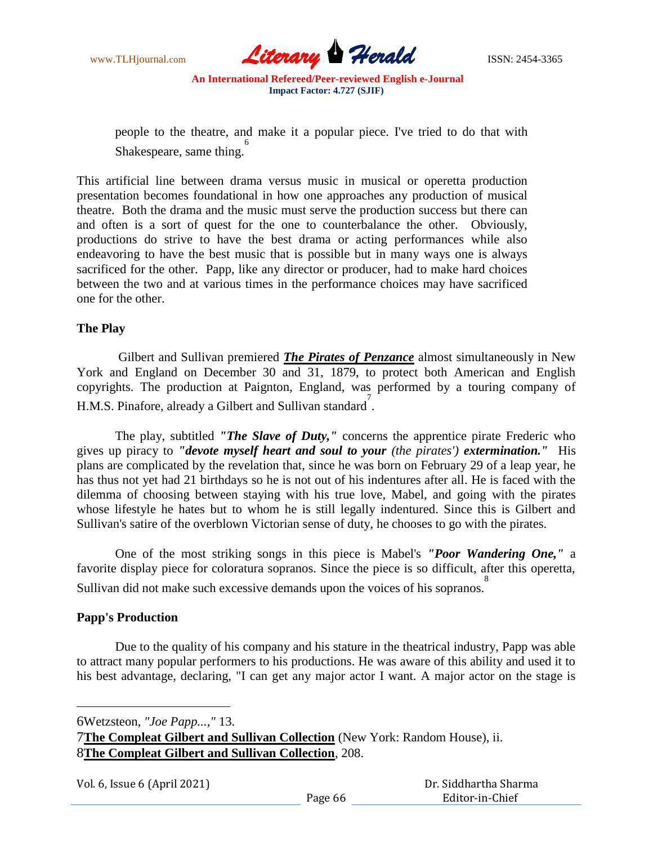

people to the theatre, and make it a popular piece. I've tried to do that with shakespeare, same thing.

This artificial line between drama versus music in musical or operetta production presentation becomes foundational in how one approaches any production of musical theatre. Both the drama and the music must serve the production success but there can and often is a sort of quest for the one to counterbalance the other. Obviously, productions do strive to have the best drama or acting performances while also endeavoring to have the best music that is possible but in many ways one is always sacrificed for the other. Papp, like any director or producer, had to make hard choices between the two and at various times in the performance choices may have sacrificed one for the other.

# **The Play**

Gilbert and Sullivan premiered *The Pirates of Penzance* almost simultaneously in New York and England on December 30 and 31, 1879, to protect both American and English copyrights. The production at Paignton, England, was performed by a touring company of H.M.S. Pinafore, already a Gilbert and Sullivan standard.

The play, subtitled *"The Slave of Duty,"* concerns the apprentice pirate Frederic who gives up piracy to *"devote myself heart and soul to your (the pirates') extermination."* His plans are complicated by the revelation that, since he was born on February 29 of a leap year, he has thus not yet had 21 birthdays so he is not out of his indentures after all. He is faced with the dilemma of choosing between staying with his true love, Mabel, and going with the pirates whose lifestyle he hates but to whom he is still legally indentured. Since this is Gilbert and Sullivan's satire of the overblown Victorian sense of duty, he chooses to go with the pirates.

One of the most striking songs in this piece is Mabel's *"Poor Wandering One,"* a favorite display piece for coloratura sopranos. Since the piece is so difficult, after this operetta, Sullivan did not make such excessive demands upon the voices of his sopranos. 8

# **Papp's Production**

Due to the quality of his company and his stature in the theatrical industry, Papp was able to attract many popular performers to his productions. He was aware of this ability and used it to his best advantage, declaring, "I can get any major actor I want. A major actor on the stage is

6Wetzsteon, *"Joe Papp...,"* 13.

<sup>7</sup>**The Compleat Gilbert and Sullivan Collection** (New York: Random House), ii. 8**The Compleat Gilbert and Sullivan Collection**, 208.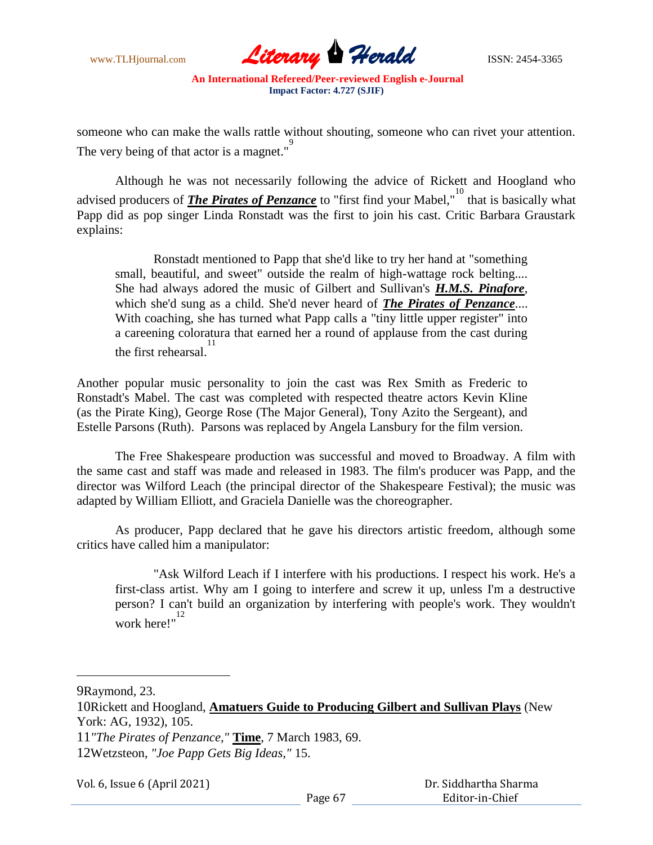

someone who can make the walls rattle without shouting, someone who can rivet your attention. The very being of that actor is a magnet."

Although he was not necessarily following the advice of Rickett and Hoogland who advised producers of *The Pirates of Penzance* to "first find your Mabel,"<sup>10</sup> that is basically what Papp did as pop singer Linda Ronstadt was the first to join his cast. Critic Barbara Graustark explains:

Ronstadt mentioned to Papp that she'd like to try her hand at "something small, beautiful, and sweet" outside the realm of high-wattage rock belting.... She had always adored the music of Gilbert and Sullivan's *H.M.S. Pinafore*, which she'd sung as a child. She'd never heard of *The Pirates of Penzance*.... With coaching, she has turned what Papp calls a "tiny little upper register" into a careening coloratura that earned her a round of applause from the cast during the first rehearsal. 11

Another popular music personality to join the cast was Rex Smith as Frederic to Ronstadt's Mabel. The cast was completed with respected theatre actors Kevin Kline (as the Pirate King), George Rose (The Major General), Tony Azito the Sergeant), and Estelle Parsons (Ruth). Parsons was replaced by Angela Lansbury for the film version.

The Free Shakespeare production was successful and moved to Broadway. A film with the same cast and staff was made and released in 1983. The film's producer was Papp, and the director was Wilford Leach (the principal director of the Shakespeare Festival); the music was adapted by William Elliott, and Graciela Danielle was the choreographer.

As producer, Papp declared that he gave his directors artistic freedom, although some critics have called him a manipulator:

"Ask Wilford Leach if I interfere with his productions. I respect his work. He's a first-class artist. Why am I going to interfere and screw it up, unless I'm a destructive person? I can't build an organization by interfering with people's work. They wouldn't work here!"<sup>12</sup>

9Raymond, 23.

Vol. 6, Issue 6 (April 2021)

<sup>10</sup>Rickett and Hoogland, **Amatuers Guide to Producing Gilbert and Sullivan Plays** (New York: AG, 1932), 105.

<sup>11</sup>*"The Pirates of Penzance,"* **Time**, 7 March 1983, 69.

<sup>12</sup>Wetzsteon, *"Joe Papp Gets Big Ideas,"* 15.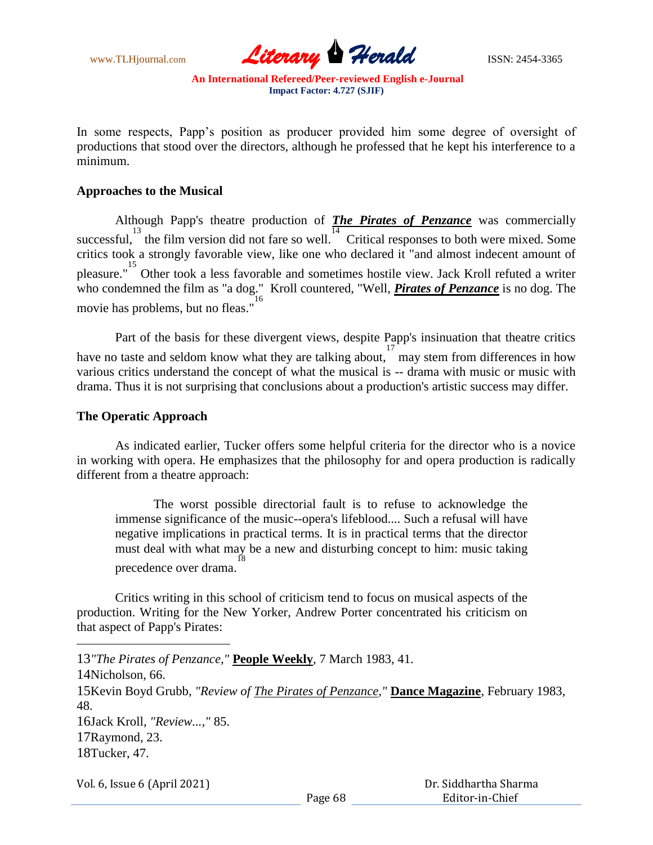

In some respects, Papp's position as producer provided him some degree of oversight of productions that stood over the directors, although he professed that he kept his interference to a minimum.

#### **Approaches to the Musical**

Although Papp's theatre production of *The Pirates of Penzance* was commercially successful,  $\frac{13}{14}$  the film version did not fare so well. Critical responses to both were mixed. Some critics took a strongly favorable view, like one who declared it "and almost indecent amount of pleasure."<sup>15</sup> Other took a less favorable and sometimes hostile view. Jack Kroll refuted a writer who condemned the film as "a dog." Kroll countered, "Well, *Pirates of Penzance* is no dog. The movie has problems, but no fleas."

Part of the basis for these divergent views, despite Papp's insinuation that theatre critics have no taste and seldom know what they are talking about, may stem from differences in how various critics understand the concept of what the musical is -- drama with music or music with drama. Thus it is not surprising that conclusions about a production's artistic success may differ.

### **The Operatic Approach**

As indicated earlier, Tucker offers some helpful criteria for the director who is a novice in working with opera. He emphasizes that the philosophy for and opera production is radically different from a theatre approach:

The worst possible directorial fault is to refuse to acknowledge the immense significance of the music--opera's lifeblood.... Such a refusal will have negative implications in practical terms. It is in practical terms that the director must deal with what may be a new and disturbing concept to him: music taking precedence over drama. 18

Critics writing in this school of criticism tend to focus on musical aspects of the production. Writing for the New Yorker, Andrew Porter concentrated his criticism on that aspect of Papp's Pirates:

*"The Pirates of Penzance,"* **People Weekly**, 7 March 1983, 41. Nicholson, 66. Kevin Boyd Grubb, *"Review of The Pirates of Penzance,"* **Dance Magazine**, February 1983, 48. Jack Kroll, *"Review...,"* 85. Raymond, 23. Tucker, 47.

Vol. 6, Issue 6 (April 2021)

 $\overline{a}$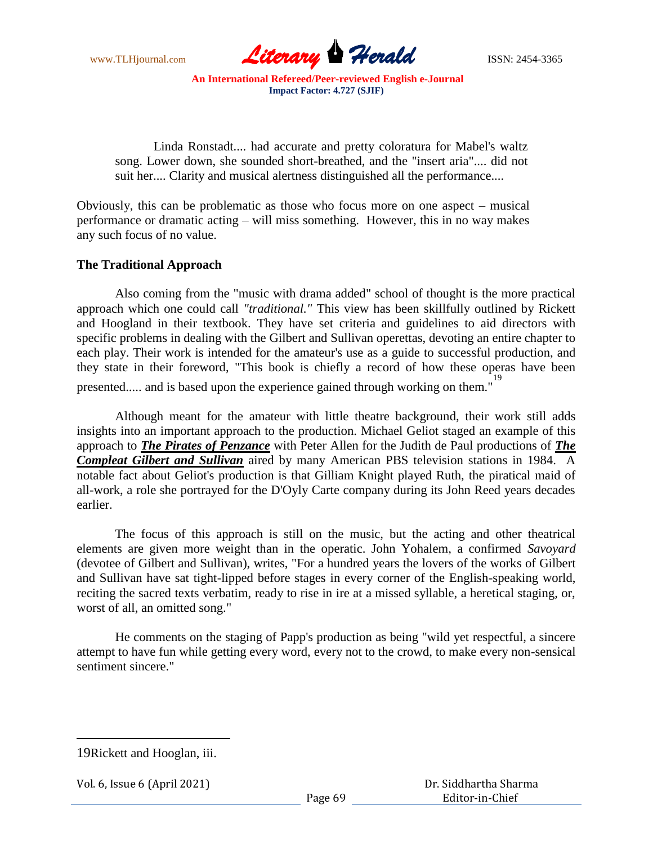

Linda Ronstadt.... had accurate and pretty coloratura for Mabel's waltz song. Lower down, she sounded short-breathed, and the "insert aria".... did not suit her.... Clarity and musical alertness distinguished all the performance....

Obviously, this can be problematic as those who focus more on one aspect – musical performance or dramatic acting – will miss something. However, this in no way makes any such focus of no value.

### **The Traditional Approach**

Also coming from the "music with drama added" school of thought is the more practical approach which one could call *"traditional."* This view has been skillfully outlined by Rickett and Hoogland in their textbook. They have set criteria and guidelines to aid directors with specific problems in dealing with the Gilbert and Sullivan operettas, devoting an entire chapter to each play. Their work is intended for the amateur's use as a guide to successful production, and they state in their foreword, "This book is chiefly a record of how these operas have been presented..... and is based upon the experience gained through working on them."

Although meant for the amateur with little theatre background, their work still adds insights into an important approach to the production. Michael Geliot staged an example of this approach to *The Pirates of Penzance* with Peter Allen for the Judith de Paul productions of *The Compleat Gilbert and Sullivan* aired by many American PBS television stations in 1984. A notable fact about Geliot's production is that Gilliam Knight played Ruth, the piratical maid of all-work, a role she portrayed for the D'Oyly Carte company during its John Reed years decades earlier.

The focus of this approach is still on the music, but the acting and other theatrical elements are given more weight than in the operatic. John Yohalem, a confirmed *Savoyard* (devotee of Gilbert and Sullivan), writes, "For a hundred years the lovers of the works of Gilbert and Sullivan have sat tight-lipped before stages in every corner of the English-speaking world, reciting the sacred texts verbatim, ready to rise in ire at a missed syllable, a heretical staging, or, worst of all, an omitted song."

He comments on the staging of Papp's production as being "wild yet respectful, a sincere attempt to have fun while getting every word, every not to the crowd, to make every non-sensical sentiment sincere."

 $\overline{a}$ 

```
Vol. 6, Issue 6 (April 2021)
```
<sup>19</sup>Rickett and Hooglan, iii.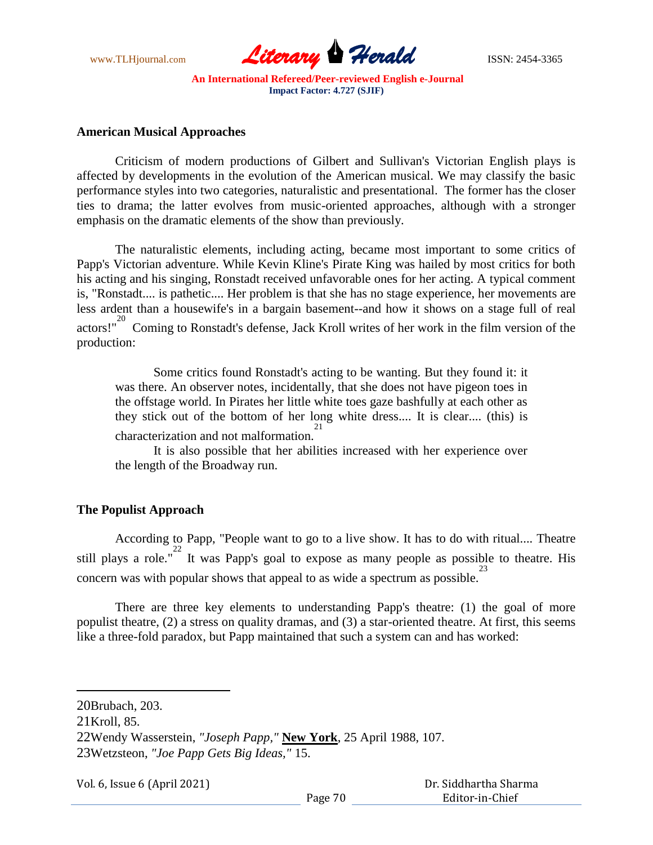

#### **American Musical Approaches**

Criticism of modern productions of Gilbert and Sullivan's Victorian English plays is affected by developments in the evolution of the American musical. We may classify the basic performance styles into two categories, naturalistic and presentational. The former has the closer ties to drama; the latter evolves from music-oriented approaches, although with a stronger emphasis on the dramatic elements of the show than previously.

The naturalistic elements, including acting, became most important to some critics of Papp's Victorian adventure. While Kevin Kline's Pirate King was hailed by most critics for both his acting and his singing, Ronstadt received unfavorable ones for her acting. A typical comment is, "Ronstadt.... is pathetic.... Her problem is that she has no stage experience, her movements are less ardent than a housewife's in a bargain basement--and how it shows on a stage full of real actors!"<sup>20</sup> Coming to Ronstadt's defense, Jack Kroll writes of her work in the film version of the production:

Some critics found Ronstadt's acting to be wanting. But they found it: it was there. An observer notes, incidentally, that she does not have pigeon toes in the offstage world. In Pirates her little white toes gaze bashfully at each other as they stick out of the bottom of her long white dress.... It is clear.... (this) is characterization and not malformation. 21

It is also possible that her abilities increased with her experience over the length of the Broadway run.

# **The Populist Approach**

According to Papp, "People want to go to a live show. It has to do with ritual.... Theatre still plays a role."<sup>22</sup> It was Papp's goal to expose as many people as possible to theatre. His concern was with popular shows that appeal to as wide a spectrum as possible.

There are three key elements to understanding Papp's theatre: (1) the goal of more populist theatre, (2) a stress on quality dramas, and (3) a star-oriented theatre. At first, this seems like a three-fold paradox, but Papp maintained that such a system can and has worked:

Vol. 6, Issue 6 (April 2021)

<sup>20</sup>Brubach, 203.

<sup>21</sup>Kroll, 85.

<sup>22</sup>Wendy Wasserstein, *"Joseph Papp,"* **New York**, 25 April 1988, 107. 23Wetzsteon, *"Joe Papp Gets Big Ideas,"* 15.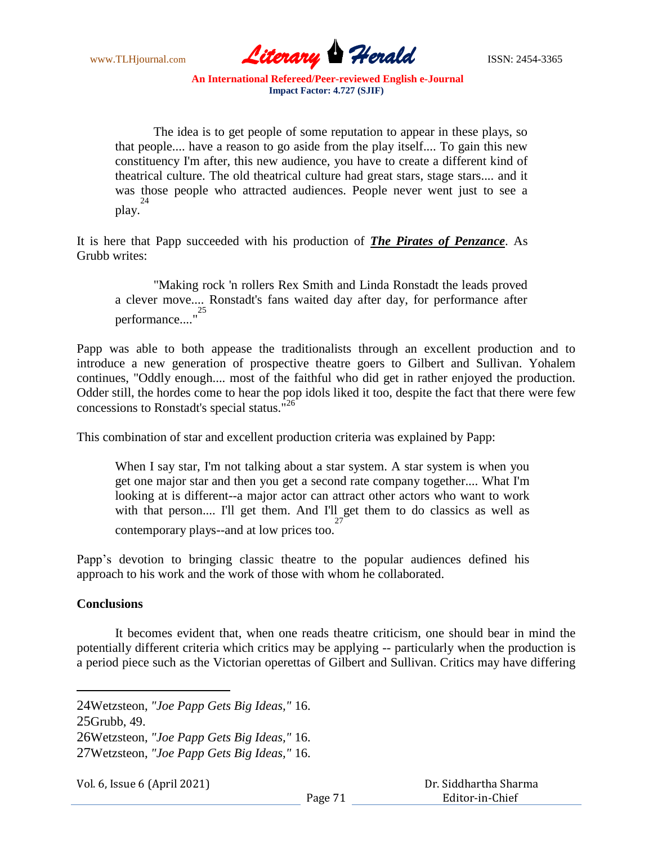

The idea is to get people of some reputation to appear in these plays, so that people.... have a reason to go aside from the play itself.... To gain this new constituency I'm after, this new audience, you have to create a different kind of theatrical culture. The old theatrical culture had great stars, stage stars.... and it was those people who attracted audiences. People never went just to see a play. 24

It is here that Papp succeeded with his production of *The Pirates of Penzance*. As Grubb writes:

"Making rock 'n rollers Rex Smith and Linda Ronstadt the leads proved a clever move.... Ronstadt's fans waited day after day, for performance after performance...." 25

Papp was able to both appease the traditionalists through an excellent production and to introduce a new generation of prospective theatre goers to Gilbert and Sullivan. Yohalem continues, "Oddly enough.... most of the faithful who did get in rather enjoyed the production. Odder still, the hordes come to hear the pop idols liked it too, despite the fact that there were few concessions to Ronstadt's special status."<sup>26</sup>

This combination of star and excellent production criteria was explained by Papp:

When I say star, I'm not talking about a star system. A star system is when you get one major star and then you get a second rate company together.... What I'm looking at is different--a major actor can attract other actors who want to work with that person.... I'll get them. And I'll get them to do classics as well as contemporary plays--and at low prices too. 27

Papp's devotion to bringing classic theatre to the popular audiences defined his approach to his work and the work of those with whom he collaborated.

# **Conclusions**

It becomes evident that, when one reads theatre criticism, one should bear in mind the potentially different criteria which critics may be applying -- particularly when the production is a period piece such as the Victorian operettas of Gilbert and Sullivan. Critics may have differing

24Wetzsteon, *"Joe Papp Gets Big Ideas,"* 16.

25Grubb, 49.

26Wetzsteon, *"Joe Papp Gets Big Ideas,"* 16.

27Wetzsteon, *"Joe Papp Gets Big Ideas,"* 16.

Vol. 6, Issue 6 (April 2021)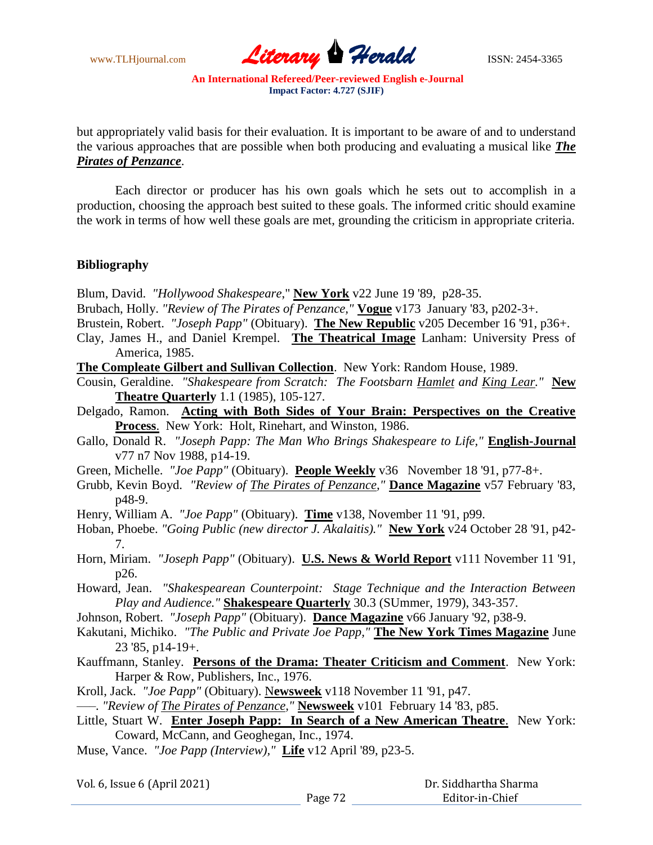

but appropriately valid basis for their evaluation. It is important to be aware of and to understand the various approaches that are possible when both producing and evaluating a musical like *The Pirates of Penzance*.

Each director or producer has his own goals which he sets out to accomplish in a production, choosing the approach best suited to these goals. The informed critic should examine the work in terms of how well these goals are met, grounding the criticism in appropriate criteria.

### **Bibliography**

Blum, David. *"Hollywood Shakespeare*," **New York** v22 June 19 '89, p28-35.

- Brubach, Holly. *"Review of The Pirates of Penzance,"* **Vogue** v173 January '83, p202-3+.
- Brustein, Robert. *"Joseph Papp"* (Obituary). **The New Republic** v205 December 16 '91, p36+.
- Clay, James H., and Daniel Krempel. **The Theatrical Image** Lanham: University Press of America, 1985.
- **The Compleate Gilbert and Sullivan Collection**. New York: Random House, 1989.
- Cousin, Geraldine. *"Shakespeare from Scratch: The Footsbarn Hamlet and King Lear."* **New Theatre Quarterly** 1.1 (1985), 105-127.
- Delgado, Ramon. **Acting with Both Sides of Your Brain: Perspectives on the Creative Process**. New York: Holt, Rinehart, and Winston, 1986.
- Gallo, Donald R. *"Joseph Papp: The Man Who Brings Shakespeare to Life,"* **English-Journal** v77 n7 Nov 1988, p14-19.
- Green, Michelle. *"Joe Papp"* (Obituary). **People Weekly** v36 November 18 '91, p77-8+.
- Grubb, Kevin Boyd. *"Review of The Pirates of Penzance,"* **Dance Magazine** v57 February '83, p48-9.
- Henry, William A. *"Joe Papp"* (Obituary). **Time** v138, November 11 '91, p99.
- Hoban, Phoebe. *"Going Public (new director J. Akalaitis)."* **New York** v24 October 28 '91, p42- 7.
- Horn, Miriam. *"Joseph Papp"* (Obituary). **U.S. News & World Report** v111 November 11 '91, p26.

Howard, Jean. *"Shakespearean Counterpoint: Stage Technique and the Interaction Between Play and Audience."* **Shakespeare Quarterly** 30.3 (SUmmer, 1979), 343-357.

- Johnson, Robert. *"Joseph Papp"* (Obituary). **Dance Magazine** v66 January '92, p38-9.
- Kakutani, Michiko. *"The Public and Private Joe Papp,"* **The New York Times Magazine** June 23 '85, p14-19+.
- Kauffmann, Stanley. **Persons of the Drama: Theater Criticism and Comment**. New York: Harper & Row, Publishers, Inc., 1976.

Kroll, Jack. *"Joe Papp"* (Obituary). N**ewsweek** v118 November 11 '91, p47.

*–––. "Review of The Pirates of Penzance,"* **Newsweek** v101 February 14 '83, p85.

- Little, Stuart W. **Enter Joseph Papp: In Search of a New American Theatre**. New York: Coward, McCann, and Geoghegan, Inc., 1974.
- Muse, Vance. *"Joe Papp (Interview),"* **Life** v12 April '89, p23-5.

|  |  |  | Vol. 6, Issue 6 (April 2021) |
|--|--|--|------------------------------|
|--|--|--|------------------------------|

|         | Dr. Siddhartha Sharma |  |
|---------|-----------------------|--|
| Page 72 | Editor-in-Chief       |  |